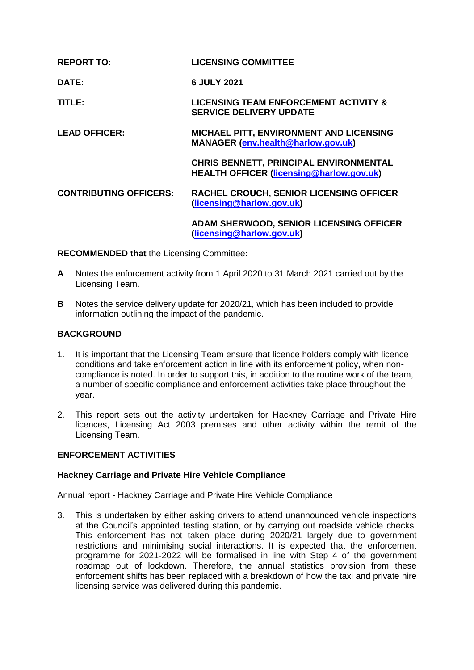| <b>REPORT TO:</b>             | <b>LICENSING COMMITTEE</b>                                                                       |
|-------------------------------|--------------------------------------------------------------------------------------------------|
| DATE:                         | 6 JULY 2021                                                                                      |
| TITLE:                        | <b>LICENSING TEAM ENFORCEMENT ACTIVITY &amp;</b><br><b>SERVICE DELIVERY UPDATE</b>               |
| <b>LEAD OFFICER:</b>          | <b>MICHAEL PITT, ENVIRONMENT AND LICENSING</b><br><b>MANAGER (env.health@harlow.gov.uk)</b>      |
|                               | <b>CHRIS BENNETT, PRINCIPAL ENVIRONMENTAL</b><br><b>HEALTH OFFICER (licensing@harlow.gov.uk)</b> |
| <b>CONTRIBUTING OFFICERS:</b> | <b>RACHEL CROUCH, SENIOR LICENSING OFFICER</b><br>(licensing@harlow.gov.uk)                      |
|                               | ADAM CUEDWOOD, CENIOD LICENCING OFFICED                                                          |

**ADAM SHERWOOD, SENIOR LICENSING OFFICER [\(licensing@harlow.gov.uk\)](mailto:licensing@harlow.gov.uk)** 

**RECOMMENDED that** the Licensing Committee**:**

- **A** Notes the enforcement activity from 1 April 2020 to 31 March 2021 carried out by the Licensing Team.
- **B** Notes the service delivery update for 2020/21, which has been included to provide information outlining the impact of the pandemic.

# **BACKGROUND**

- 1. It is important that the Licensing Team ensure that licence holders comply with licence conditions and take enforcement action in line with its enforcement policy, when noncompliance is noted. In order to support this, in addition to the routine work of the team, a number of specific compliance and enforcement activities take place throughout the year.
- 2. This report sets out the activity undertaken for Hackney Carriage and Private Hire licences, Licensing Act 2003 premises and other activity within the remit of the Licensing Team.

## **ENFORCEMENT ACTIVITIES**

## **Hackney Carriage and Private Hire Vehicle Compliance**

Annual report - Hackney Carriage and Private Hire Vehicle Compliance

3. This is undertaken by either asking drivers to attend unannounced vehicle inspections at the Council's appointed testing station, or by carrying out roadside vehicle checks. This enforcement has not taken place during 2020/21 largely due to government restrictions and minimising social interactions. It is expected that the enforcement programme for 2021-2022 will be formalised in line with Step 4 of the government roadmap out of lockdown. Therefore, the annual statistics provision from these enforcement shifts has been replaced with a breakdown of how the taxi and private hire licensing service was delivered during this pandemic.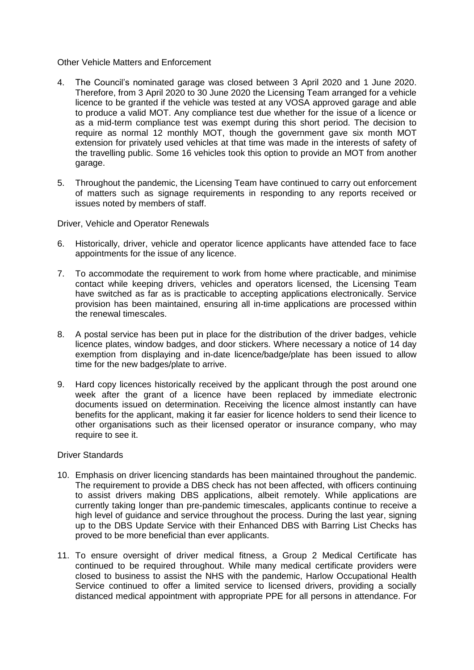### Other Vehicle Matters and Enforcement

- 4. The Council's nominated garage was closed between 3 April 2020 and 1 June 2020. Therefore, from 3 April 2020 to 30 June 2020 the Licensing Team arranged for a vehicle licence to be granted if the vehicle was tested at any VOSA approved garage and able to produce a valid MOT. Any compliance test due whether for the issue of a licence or as a mid-term compliance test was exempt during this short period. The decision to require as normal 12 monthly MOT, though the government gave six month MOT extension for privately used vehicles at that time was made in the interests of safety of the travelling public. Some 16 vehicles took this option to provide an MOT from another garage.
- 5. Throughout the pandemic, the Licensing Team have continued to carry out enforcement of matters such as signage requirements in responding to any reports received or issues noted by members of staff.

Driver, Vehicle and Operator Renewals

- 6. Historically, driver, vehicle and operator licence applicants have attended face to face appointments for the issue of any licence.
- 7. To accommodate the requirement to work from home where practicable, and minimise contact while keeping drivers, vehicles and operators licensed, the Licensing Team have switched as far as is practicable to accepting applications electronically. Service provision has been maintained, ensuring all in-time applications are processed within the renewal timescales.
- 8. A postal service has been put in place for the distribution of the driver badges, vehicle licence plates, window badges, and door stickers. Where necessary a notice of 14 day exemption from displaying and in-date licence/badge/plate has been issued to allow time for the new badges/plate to arrive.
- 9. Hard copy licences historically received by the applicant through the post around one week after the grant of a licence have been replaced by immediate electronic documents issued on determination. Receiving the licence almost instantly can have benefits for the applicant, making it far easier for licence holders to send their licence to other organisations such as their licensed operator or insurance company, who may require to see it.

## Driver Standards

- 10. Emphasis on driver licencing standards has been maintained throughout the pandemic. The requirement to provide a DBS check has not been affected, with officers continuing to assist drivers making DBS applications, albeit remotely. While applications are currently taking longer than pre-pandemic timescales, applicants continue to receive a high level of guidance and service throughout the process. During the last year, signing up to the DBS Update Service with their Enhanced DBS with Barring List Checks has proved to be more beneficial than ever applicants.
- 11. To ensure oversight of driver medical fitness, a Group 2 Medical Certificate has continued to be required throughout. While many medical certificate providers were closed to business to assist the NHS with the pandemic, Harlow Occupational Health Service continued to offer a limited service to licensed drivers, providing a socially distanced medical appointment with appropriate PPE for all persons in attendance. For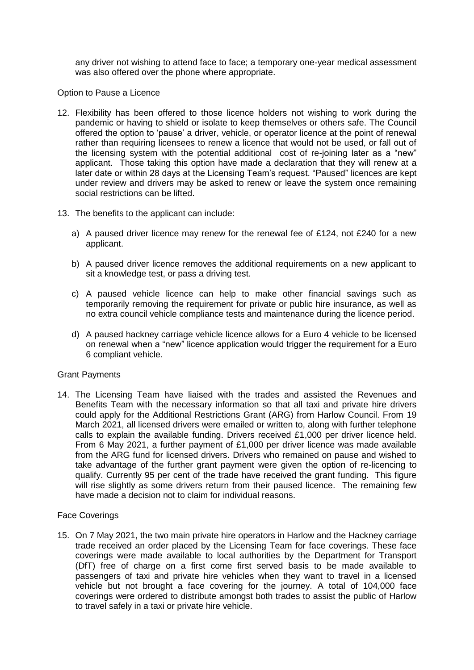any driver not wishing to attend face to face; a temporary one-year medical assessment was also offered over the phone where appropriate.

# Option to Pause a Licence

- 12. Flexibility has been offered to those licence holders not wishing to work during the pandemic or having to shield or isolate to keep themselves or others safe. The Council offered the option to 'pause' a driver, vehicle, or operator licence at the point of renewal rather than requiring licensees to renew a licence that would not be used, or fall out of the licensing system with the potential additional cost of re-joining later as a "new" applicant. Those taking this option have made a declaration that they will renew at a later date or within 28 days at the Licensing Team's request. "Paused" licences are kept under review and drivers may be asked to renew or leave the system once remaining social restrictions can be lifted.
- 13. The benefits to the applicant can include:
	- a) A paused driver licence may renew for the renewal fee of £124, not £240 for a new applicant.
	- b) A paused driver licence removes the additional requirements on a new applicant to sit a knowledge test, or pass a driving test.
	- c) A paused vehicle licence can help to make other financial savings such as temporarily removing the requirement for private or public hire insurance, as well as no extra council vehicle compliance tests and maintenance during the licence period.
	- d) A paused hackney carriage vehicle licence allows for a Euro 4 vehicle to be licensed on renewal when a "new" licence application would trigger the requirement for a Euro 6 compliant vehicle.

## Grant Payments

14. The Licensing Team have liaised with the trades and assisted the Revenues and Benefits Team with the necessary information so that all taxi and private hire drivers could apply for the Additional Restrictions Grant (ARG) from Harlow Council. From 19 March 2021, all licensed drivers were emailed or written to, along with further telephone calls to explain the available funding. Drivers received £1,000 per driver licence held. From 6 May 2021, a further payment of £1,000 per driver licence was made available from the ARG fund for licensed drivers. Drivers who remained on pause and wished to take advantage of the further grant payment were given the option of re-licencing to qualify. Currently 95 per cent of the trade have received the grant funding. This figure will rise slightly as some drivers return from their paused licence. The remaining few have made a decision not to claim for individual reasons.

## Face Coverings

15. On 7 May 2021, the two main private hire operators in Harlow and the Hackney carriage trade received an order placed by the Licensing Team for face coverings. These face coverings were made available to local authorities by the Department for Transport (DfT) free of charge on a first come first served basis to be made available to passengers of taxi and private hire vehicles when they want to travel in a licensed vehicle but not brought a face covering for the journey. A total of 104,000 face coverings were ordered to distribute amongst both trades to assist the public of Harlow to travel safely in a taxi or private hire vehicle.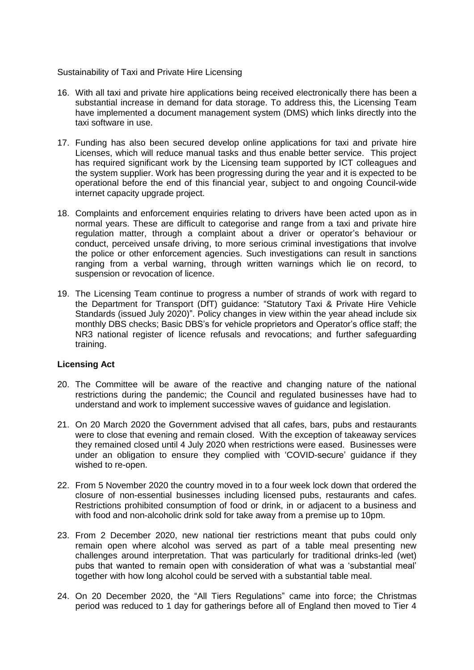## Sustainability of Taxi and Private Hire Licensing

- 16. With all taxi and private hire applications being received electronically there has been a substantial increase in demand for data storage. To address this, the Licensing Team have implemented a document management system (DMS) which links directly into the taxi software in use.
- 17. Funding has also been secured develop online applications for taxi and private hire Licenses, which will reduce manual tasks and thus enable better service. This project has required significant work by the Licensing team supported by ICT colleagues and the system supplier. Work has been progressing during the year and it is expected to be operational before the end of this financial year, subject to and ongoing Council-wide internet capacity upgrade project.
- 18. Complaints and enforcement enquiries relating to drivers have been acted upon as in normal years. These are difficult to categorise and range from a taxi and private hire regulation matter, through a complaint about a driver or operator's behaviour or conduct, perceived unsafe driving, to more serious criminal investigations that involve the police or other enforcement agencies. Such investigations can result in sanctions ranging from a verbal warning, through written warnings which lie on record, to suspension or revocation of licence.
- 19. The Licensing Team continue to progress a number of strands of work with regard to the Department for Transport (DfT) guidance: "Statutory Taxi & Private Hire Vehicle Standards (issued July 2020)". Policy changes in view within the year ahead include six monthly DBS checks; Basic DBS's for vehicle proprietors and Operator's office staff; the NR3 national register of licence refusals and revocations; and further safeguarding training.

# **Licensing Act**

- 20. The Committee will be aware of the reactive and changing nature of the national restrictions during the pandemic; the Council and regulated businesses have had to understand and work to implement successive waves of guidance and legislation.
- 21. On 20 March 2020 the Government advised that all cafes, bars, pubs and restaurants were to close that evening and remain closed. With the exception of takeaway services they remained closed until 4 July 2020 when restrictions were eased. Businesses were under an obligation to ensure they complied with 'COVID-secure' guidance if they wished to re-open.
- 22. From 5 November 2020 the country moved in to a four week lock down that ordered the closure of non-essential businesses including licensed pubs, restaurants and cafes. Restrictions prohibited consumption of food or drink, in or adjacent to a business and with food and non-alcoholic drink sold for take away from a premise up to 10pm.
- 23. From 2 December 2020, new national tier restrictions meant that pubs could only remain open where alcohol was served as part of a table meal presenting new challenges around interpretation. That was particularly for traditional drinks-led (wet) pubs that wanted to remain open with consideration of what was a 'substantial meal' together with how long alcohol could be served with a substantial table meal.
- 24. On 20 December 2020, the "All Tiers Regulations" came into force; the Christmas period was reduced to 1 day for gatherings before all of England then moved to Tier 4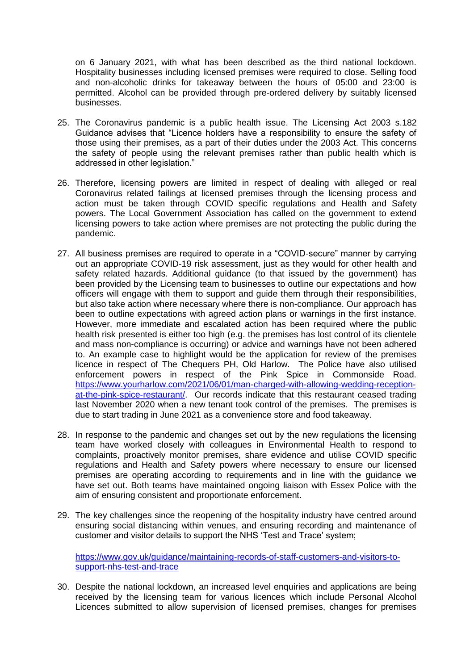on 6 January 2021, with what has been described as the third national lockdown. Hospitality businesses including licensed premises were required to close. Selling food and non-alcoholic drinks for takeaway between the hours of 05:00 and 23:00 is permitted. Alcohol can be provided through pre-ordered delivery by suitably licensed businesses.

- 25. The Coronavirus pandemic is a public health issue. The Licensing Act 2003 s.182 Guidance advises that "Licence holders have a responsibility to ensure the safety of those using their premises, as a part of their duties under the 2003 Act. This concerns the safety of people using the relevant premises rather than public health which is addressed in other legislation."
- 26. Therefore, licensing powers are limited in respect of dealing with alleged or real Coronavirus related failings at licensed premises through the licensing process and action must be taken through COVID specific regulations and Health and Safety powers. The Local Government Association has called on the government to extend licensing powers to take action where premises are not protecting the public during the pandemic.
- 27. All business premises are required to operate in a "COVID-secure" manner by carrying out an appropriate COVID-19 risk assessment, just as they would for other health and safety related hazards. Additional guidance (to that issued by the government) has been provided by the Licensing team to businesses to outline our expectations and how officers will engage with them to support and guide them through their responsibilities, but also take action where necessary where there is non-compliance. Our approach has been to outline expectations with agreed action plans or warnings in the first instance. However, more immediate and escalated action has been required where the public health risk presented is either too high (e.g. the premises has lost control of its clientele and mass non-compliance is occurring) or advice and warnings have not been adhered to. An example case to highlight would be the application for review of the premises licence in respect of The Chequers PH, Old Harlow. The Police have also utilised enforcement powers in respect of the Pink Spice in Commonside Road. [https://www.yourharlow.com/2021/06/01/man-charged-with-allowing-wedding-reception](https://www.yourharlow.com/2021/06/01/man-charged-with-allowing-wedding-reception-at-the-pink-spice-restaurant/)[at-the-pink-spice-restaurant/.](https://www.yourharlow.com/2021/06/01/man-charged-with-allowing-wedding-reception-at-the-pink-spice-restaurant/) Our records indicate that this restaurant ceased trading last November 2020 when a new tenant took control of the premises. The premises is due to start trading in June 2021 as a convenience store and food takeaway.
- 28. In response to the pandemic and changes set out by the new regulations the licensing team have worked closely with colleagues in Environmental Health to respond to complaints, proactively monitor premises, share evidence and utilise COVID specific regulations and Health and Safety powers where necessary to ensure our licensed premises are operating according to requirements and in line with the guidance we have set out. Both teams have maintained ongoing liaison with Essex Police with the aim of ensuring consistent and proportionate enforcement.
- 29. The key challenges since the reopening of the hospitality industry have centred around ensuring social distancing within venues, and ensuring recording and maintenance of customer and visitor details to support the NHS 'Test and Trace' system;

[https://www.gov.uk/guidance/maintaining-records-of-staff-customers-and-visitors-to](https://www.gov.uk/guidance/maintaining-records-of-staff-customers-and-visitors-to-support-nhs-test-and-trace)[support-nhs-test-and-trace](https://www.gov.uk/guidance/maintaining-records-of-staff-customers-and-visitors-to-support-nhs-test-and-trace)

30. Despite the national lockdown, an increased level enquiries and applications are being received by the licensing team for various licences which include Personal Alcohol Licences submitted to allow supervision of licensed premises, changes for premises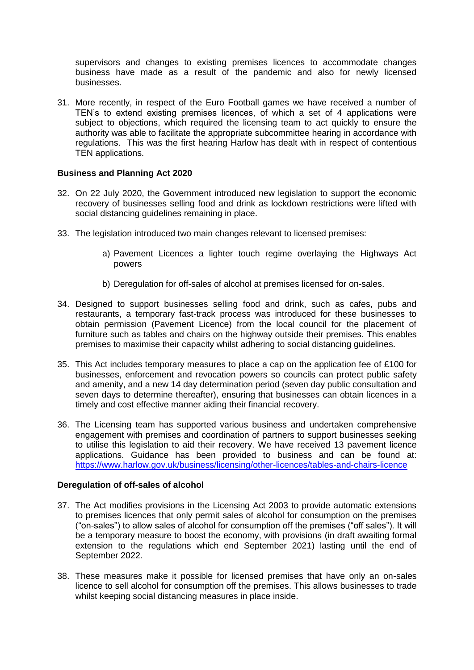supervisors and changes to existing premises licences to accommodate changes business have made as a result of the pandemic and also for newly licensed businesses.

31. More recently, in respect of the Euro Football games we have received a number of TEN's to extend existing premises licences, of which a set of 4 applications were subject to objections, which required the licensing team to act quickly to ensure the authority was able to facilitate the appropriate subcommittee hearing in accordance with regulations. This was the first hearing Harlow has dealt with in respect of contentious TEN applications.

# **Business and Planning Act 2020**

- 32. On 22 July 2020, the Government introduced new legislation to support the economic recovery of businesses selling food and drink as lockdown restrictions were lifted with social distancing guidelines remaining in place.
- 33. The legislation introduced two main changes relevant to licensed premises:
	- a) Pavement Licences a lighter touch regime overlaying the Highways Act powers
	- b) Deregulation for off-sales of alcohol at premises licensed for on-sales.
- 34. Designed to support businesses selling food and drink, such as cafes, pubs and restaurants, a temporary fast-track process was introduced for these businesses to obtain permission (Pavement Licence) from the local council for the placement of furniture such as tables and chairs on the highway outside their premises. This enables premises to maximise their capacity whilst adhering to social distancing guidelines.
- 35. This Act includes temporary measures to place a cap on the application fee of £100 for businesses, enforcement and revocation powers so councils can protect public safety and amenity, and a new 14 day determination period (seven day public consultation and seven days to determine thereafter), ensuring that businesses can obtain licences in a timely and cost effective manner aiding their financial recovery.
- 36. The Licensing team has supported various business and undertaken comprehensive engagement with premises and coordination of partners to support businesses seeking to utilise this legislation to aid their recovery. We have received 13 pavement licence applications. Guidance has been provided to business and can be found at: <https://www.harlow.gov.uk/business/licensing/other-licences/tables-and-chairs-licence>

## **Deregulation of off-sales of alcohol**

- 37. The Act modifies provisions in the Licensing Act 2003 to provide automatic extensions to premises licences that only permit sales of alcohol for consumption on the premises ("on-sales") to allow sales of alcohol for consumption off the premises ("off sales"). It will be a temporary measure to boost the economy, with provisions (in draft awaiting formal extension to the regulations which end September 2021) lasting until the end of September 2022.
- 38. These measures make it possible for licensed premises that have only an on-sales licence to sell alcohol for consumption off the premises. This allows businesses to trade whilst keeping social distancing measures in place inside.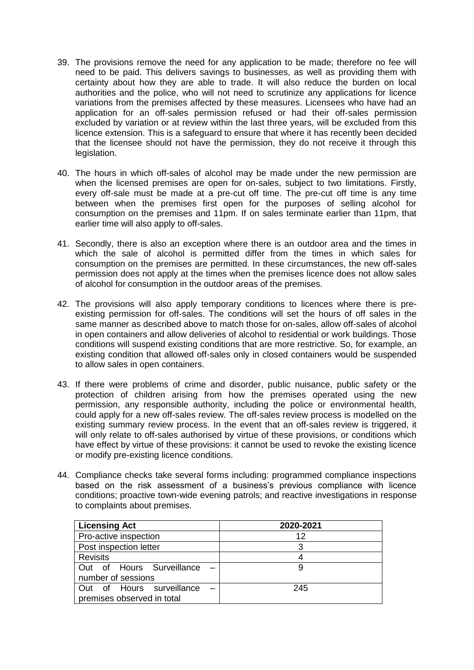- 39. The provisions remove the need for any application to be made; therefore no fee will need to be paid. This delivers savings to businesses, as well as providing them with certainty about how they are able to trade. It will also reduce the burden on local authorities and the police, who will not need to scrutinize any applications for licence variations from the premises affected by these measures. Licensees who have had an application for an off-sales permission refused or had their off-sales permission excluded by variation or at review within the last three years, will be excluded from this licence extension. This is a safeguard to ensure that where it has recently been decided that the licensee should not have the permission, they do not receive it through this legislation.
- 40. The hours in which off-sales of alcohol may be made under the new permission are when the licensed premises are open for on-sales, subject to two limitations. Firstly, every off-sale must be made at a pre-cut off time. The pre-cut off time is any time between when the premises first open for the purposes of selling alcohol for consumption on the premises and 11pm. If on sales terminate earlier than 11pm, that earlier time will also apply to off-sales.
- 41. Secondly, there is also an exception where there is an outdoor area and the times in which the sale of alcohol is permitted differ from the times in which sales for consumption on the premises are permitted. In these circumstances, the new off-sales permission does not apply at the times when the premises licence does not allow sales of alcohol for consumption in the outdoor areas of the premises.
- 42. The provisions will also apply temporary conditions to licences where there is preexisting permission for off-sales. The conditions will set the hours of off sales in the same manner as described above to match those for on-sales, allow off-sales of alcohol in open containers and allow deliveries of alcohol to residential or work buildings. Those conditions will suspend existing conditions that are more restrictive. So, for example, an existing condition that allowed off-sales only in closed containers would be suspended to allow sales in open containers.
- 43. If there were problems of crime and disorder, public nuisance, public safety or the protection of children arising from how the premises operated using the new permission, any responsible authority, including the police or environmental health, could apply for a new off-sales review. The off-sales review process is modelled on the existing summary review process. In the event that an off-sales review is triggered, it will only relate to off-sales authorised by virtue of these provisions, or conditions which have effect by virtue of these provisions: it cannot be used to revoke the existing licence or modify pre-existing licence conditions.
- 44. Compliance checks take several forms including: programmed compliance inspections based on the risk assessment of a business's previous compliance with licence conditions; proactive town-wide evening patrols; and reactive investigations in response to complaints about premises.

| <b>Licensing Act</b>       | 2020-2021 |
|----------------------------|-----------|
| Pro-active inspection      | 12        |
| Post inspection letter     |           |
| <b>Revisits</b>            |           |
| Out of Hours Surveillance  |           |
| number of sessions         |           |
| Out of Hours surveillance  | 245       |
| premises observed in total |           |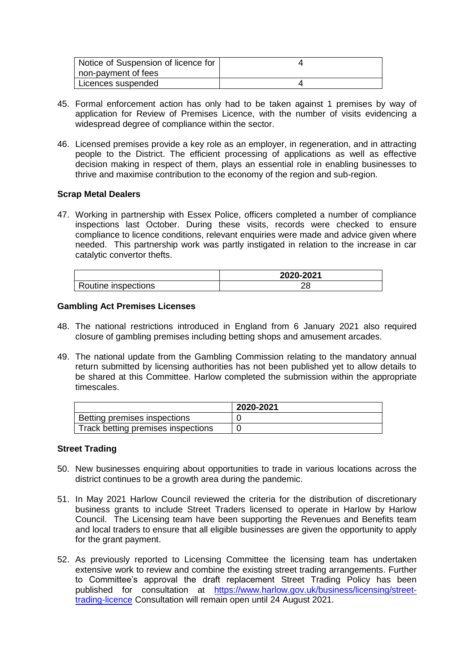| Notice of Suspension of licence for |  |
|-------------------------------------|--|
| non-payment of fees                 |  |
| Licences suspended                  |  |

- 45. Formal enforcement action has only had to be taken against 1 premises by way of application for Review of Premises Licence, with the number of visits evidencing a widespread degree of compliance within the sector.
- 46. Licensed premises provide a key role as an employer, in regeneration, and in attracting people to the District. The efficient processing of applications as well as effective decision making in respect of them, plays an essential role in enabling businesses to thrive and maximise contribution to the economy of the region and sub-region.

## **Scrap Metal Dealers**

47. Working in partnership with Essex Police, officers completed a number of compliance inspections last October. During these visits, records were checked to ensure compliance to licence conditions, relevant enquiries were made and advice given where needed. This partnership work was partly instigated in relation to the increase in car catalytic convertor thefts.

|                     | 2020-2021 |
|---------------------|-----------|
| Routine inspections |           |

## **Gambling Act Premises Licenses**

- 48. The national restrictions introduced in England from 6 January 2021 also required closure of gambling premises including betting shops and amusement arcades.
- 49. The national update from the Gambling Commission relating to the mandatory annual return submitted by licensing authorities has not been published yet to allow details to be shared at this Committee. Harlow completed the submission within the appropriate timescales.

|                                    | 2020-2021 |
|------------------------------------|-----------|
| Betting premises inspections       |           |
| Track betting premises inspections |           |

## **Street Trading**

- 50. New businesses enquiring about opportunities to trade in various locations across the district continues to be a growth area during the pandemic.
- 51. In May 2021 Harlow Council reviewed the criteria for the distribution of discretionary business grants to include Street Traders licensed to operate in Harlow by Harlow Council. The Licensing team have been supporting the Revenues and Benefits team and local traders to ensure that all eligible businesses are given the opportunity to apply for the grant payment.
- 52. As previously reported to Licensing Committee the licensing team has undertaken extensive work to review and combine the existing street trading arrangements. Further to Committee's approval the draft replacement Street Trading Policy has been published for consultation at [https://www.harlow.gov.uk/business/licensing/street](https://www.harlow.gov.uk/business/licensing/street-trading-licence)[trading-licence](https://www.harlow.gov.uk/business/licensing/street-trading-licence) Consultation will remain open until 24 August 2021.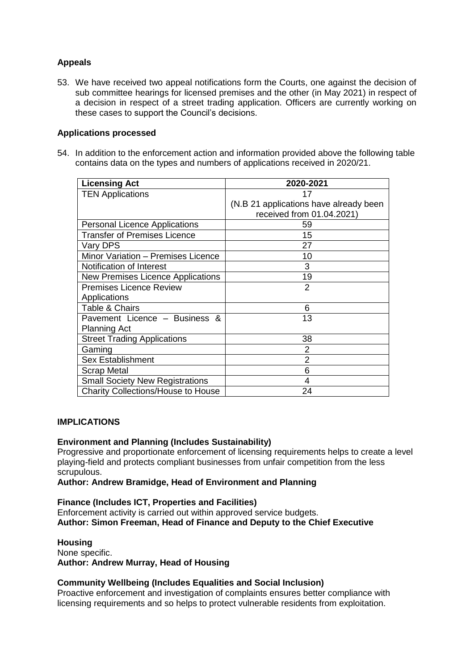# **Appeals**

53. We have received two appeal notifications form the Courts, one against the decision of sub committee hearings for licensed premises and the other (in May 2021) in respect of a decision in respect of a street trading application. Officers are currently working on these cases to support the Council's decisions.

# **Applications processed**

54. In addition to the enforcement action and information provided above the following table contains data on the types and numbers of applications received in 2020/21.

| <b>Licensing Act</b>                   | 2020-2021                              |
|----------------------------------------|----------------------------------------|
| <b>TEN Applications</b>                | 17                                     |
|                                        | (N.B 21 applications have already been |
|                                        | received from 01.04.2021)              |
| <b>Personal Licence Applications</b>   | 59                                     |
| <b>Transfer of Premises Licence</b>    | 15                                     |
| Vary DPS                               | 27                                     |
| Minor Variation - Premises Licence     | 10                                     |
| Notification of Interest               | 3                                      |
| New Premises Licence Applications      | 19                                     |
| <b>Premises Licence Review</b>         | 2                                      |
| Applications                           |                                        |
| Table & Chairs                         | 6                                      |
| Pavement Licence - Business &          | 13                                     |
| <b>Planning Act</b>                    |                                        |
| <b>Street Trading Applications</b>     | 38                                     |
| Gaming                                 | 2                                      |
| <b>Sex Establishment</b>               | 2                                      |
| <b>Scrap Metal</b>                     | 6                                      |
| <b>Small Society New Registrations</b> | 4                                      |
| Charity Collections/House to House     | 24                                     |

# **IMPLICATIONS**

# **Environment and Planning (Includes Sustainability)**

Progressive and proportionate enforcement of licensing requirements helps to create a level playing-field and protects compliant businesses from unfair competition from the less scrupulous.

## **Author: Andrew Bramidge, Head of Environment and Planning**

**Finance (Includes ICT, Properties and Facilities)** Enforcement activity is carried out within approved service budgets. **Author: Simon Freeman, Head of Finance and Deputy to the Chief Executive**

## **Housing**

None specific. **Author: Andrew Murray, Head of Housing**

# **Community Wellbeing (Includes Equalities and Social Inclusion)**

Proactive enforcement and investigation of complaints ensures better compliance with licensing requirements and so helps to protect vulnerable residents from exploitation.